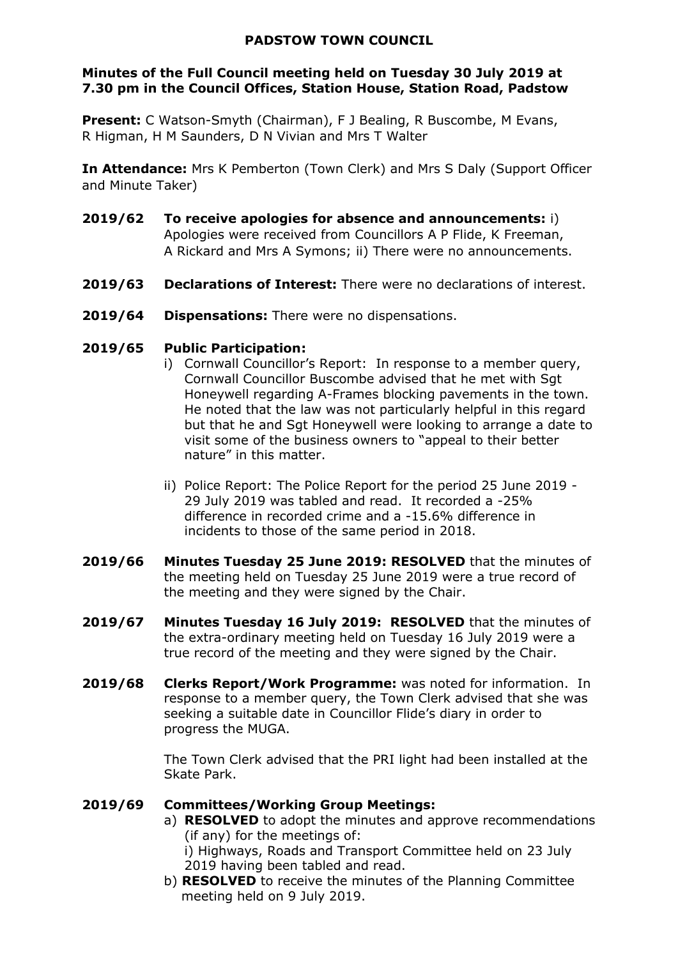#### **PADSTOW TOWN COUNCIL**

### **Minutes of the Full Council meeting held on Tuesday 30 July 2019 at 7.30 pm in the Council Offices, Station House, Station Road, Padstow**

**Present:** C Watson-Smyth (Chairman), F J Bealing, R Buscombe, M Evans, R Higman, H M Saunders, D N Vivian and Mrs T Walter

**In Attendance:** Mrs K Pemberton (Town Clerk) and Mrs S Daly (Support Officer and Minute Taker)

- **2019/62 To receive apologies for absence and announcements:** i) Apologies were received from Councillors A P Flide, K Freeman, A Rickard and Mrs A Symons; ii) There were no announcements.
- **2019/63 Declarations of Interest:** There were no declarations of interest.
- **2019/64 Dispensations:** There were no dispensations.

#### **2019/65 Public Participation:**

- i) Cornwall Councillor's Report: In response to a member query, Cornwall Councillor Buscombe advised that he met with Sgt Honeywell regarding A-Frames blocking pavements in the town. He noted that the law was not particularly helpful in this regard but that he and Sgt Honeywell were looking to arrange a date to visit some of the business owners to "appeal to their better nature" in this matter.
- ii) Police Report: The Police Report for the period 25 June 2019 29 July 2019 was tabled and read. It recorded a -25% difference in recorded crime and a -15.6% difference in incidents to those of the same period in 2018.
- **2019/66 Minutes Tuesday 25 June 2019: RESOLVED** that the minutes of the meeting held on Tuesday 25 June 2019 were a true record of the meeting and they were signed by the Chair.
- **2019/67 Minutes Tuesday 16 July 2019: RESOLVED** that the minutes of the extra-ordinary meeting held on Tuesday 16 July 2019 were a true record of the meeting and they were signed by the Chair.
- **2019/68 Clerks Report/Work Programme:** was noted for information. In response to a member query, the Town Clerk advised that she was seeking a suitable date in Councillor Flide's diary in order to progress the MUGA.

The Town Clerk advised that the PRI light had been installed at the Skate Park.

### **2019/69 Committees/Working Group Meetings:**

a) **RESOLVED** to adopt the minutes and approve recommendations (if any) for the meetings of:

i) Highways, Roads and Transport Committee held on 23 July 2019 having been tabled and read.

b) **RESOLVED** to receive the minutes of the Planning Committee meeting held on 9 July 2019.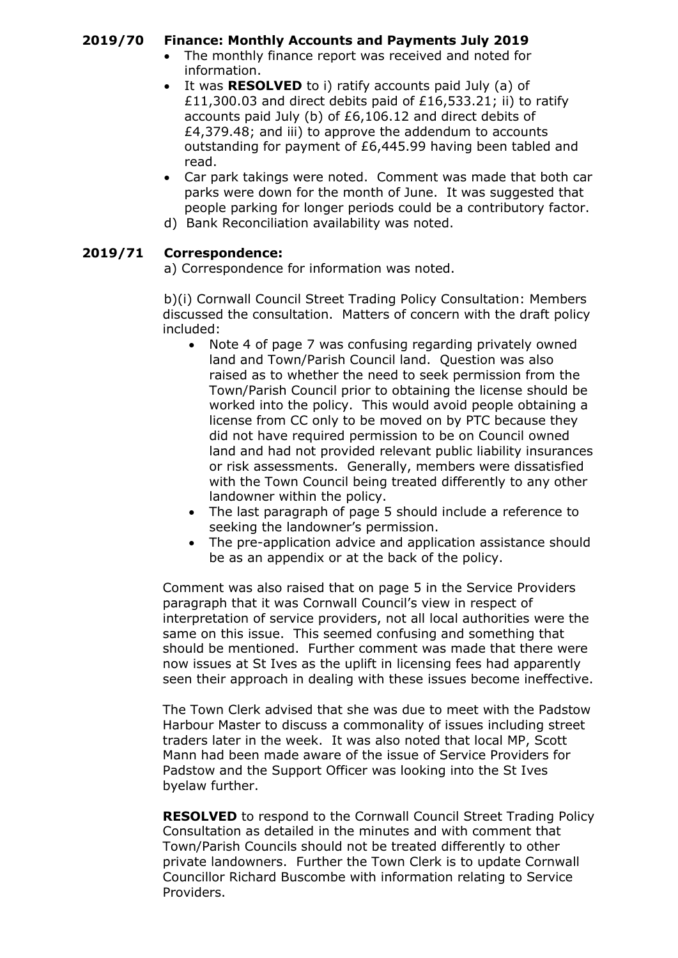# **2019/70 Finance: Monthly Accounts and Payments July 2019**

- The monthly finance report was received and noted for information.
- It was **RESOLVED** to i) ratify accounts paid July (a) of £11,300.03 and direct debits paid of £16,533.21; ii) to ratify accounts paid July (b) of £6,106.12 and direct debits of £4,379.48; and iii) to approve the addendum to accounts outstanding for payment of £6,445.99 having been tabled and read.
- Car park takings were noted. Comment was made that both car parks were down for the month of June. It was suggested that people parking for longer periods could be a contributory factor.
- d) Bank Reconciliation availability was noted.

# **2019/71 Correspondence:**

a) Correspondence for information was noted.

b)(i) Cornwall Council Street Trading Policy Consultation: Members discussed the consultation. Matters of concern with the draft policy included:

- Note 4 of page 7 was confusing regarding privately owned land and Town/Parish Council land. Question was also raised as to whether the need to seek permission from the Town/Parish Council prior to obtaining the license should be worked into the policy. This would avoid people obtaining a license from CC only to be moved on by PTC because they did not have required permission to be on Council owned land and had not provided relevant public liability insurances or risk assessments. Generally, members were dissatisfied with the Town Council being treated differently to any other landowner within the policy.
- The last paragraph of page 5 should include a reference to seeking the landowner's permission.
- The pre-application advice and application assistance should be as an appendix or at the back of the policy.

Comment was also raised that on page 5 in the Service Providers paragraph that it was Cornwall Council's view in respect of interpretation of service providers, not all local authorities were the same on this issue. This seemed confusing and something that should be mentioned. Further comment was made that there were now issues at St Ives as the uplift in licensing fees had apparently seen their approach in dealing with these issues become ineffective.

The Town Clerk advised that she was due to meet with the Padstow Harbour Master to discuss a commonality of issues including street traders later in the week. It was also noted that local MP, Scott Mann had been made aware of the issue of Service Providers for Padstow and the Support Officer was looking into the St Ives byelaw further.

**RESOLVED** to respond to the Cornwall Council Street Trading Policy Consultation as detailed in the minutes and with comment that Town/Parish Councils should not be treated differently to other private landowners. Further the Town Clerk is to update Cornwall Councillor Richard Buscombe with information relating to Service Providers.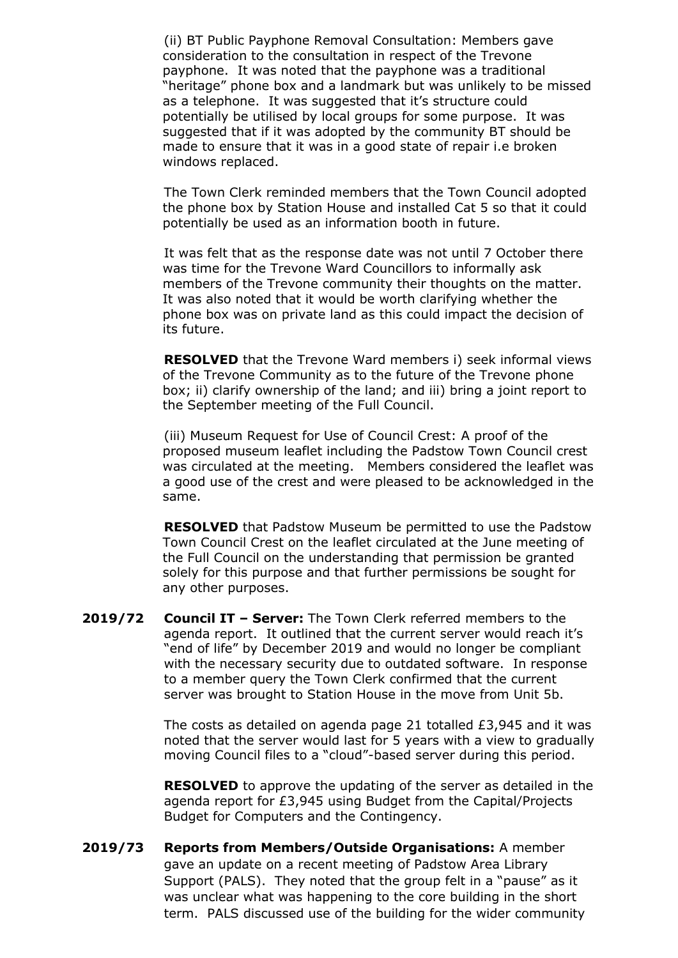(ii) BT Public Payphone Removal Consultation: Members gave consideration to the consultation in respect of the Trevone payphone. It was noted that the payphone was a traditional "heritage" phone box and a landmark but was unlikely to be missed as a telephone. It was suggested that it's structure could potentially be utilised by local groups for some purpose. It was suggested that if it was adopted by the community BT should be made to ensure that it was in a good state of repair i.e broken windows replaced.

The Town Clerk reminded members that the Town Council adopted the phone box by Station House and installed Cat 5 so that it could potentially be used as an information booth in future.

It was felt that as the response date was not until 7 October there was time for the Trevone Ward Councillors to informally ask members of the Trevone community their thoughts on the matter. It was also noted that it would be worth clarifying whether the phone box was on private land as this could impact the decision of its future.

**RESOLVED** that the Trevone Ward members i) seek informal views of the Trevone Community as to the future of the Trevone phone box; ii) clarify ownership of the land; and iii) bring a joint report to the September meeting of the Full Council.

(iii) Museum Request for Use of Council Crest: A proof of the proposed museum leaflet including the Padstow Town Council crest was circulated at the meeting. Members considered the leaflet was a good use of the crest and were pleased to be acknowledged in the same.

**RESOLVED** that Padstow Museum be permitted to use the Padstow Town Council Crest on the leaflet circulated at the June meeting of the Full Council on the understanding that permission be granted solely for this purpose and that further permissions be sought for any other purposes.

**2019/72 Council IT – Server:** The Town Clerk referred members to the agenda report. It outlined that the current server would reach it's "end of life" by December 2019 and would no longer be compliant with the necessary security due to outdated software. In response to a member query the Town Clerk confirmed that the current server was brought to Station House in the move from Unit 5b.

> The costs as detailed on agenda page 21 totalled £3,945 and it was noted that the server would last for 5 years with a view to gradually moving Council files to a "cloud"-based server during this period.

> **RESOLVED** to approve the updating of the server as detailed in the agenda report for £3,945 using Budget from the Capital/Projects Budget for Computers and the Contingency.

**2019/73 Reports from Members/Outside Organisations:** A member gave an update on a recent meeting of Padstow Area Library Support (PALS). They noted that the group felt in a "pause" as it was unclear what was happening to the core building in the short term. PALS discussed use of the building for the wider community